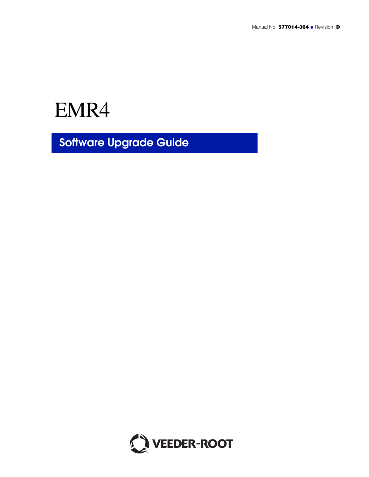EMR4

**Software Upgrade Guide**

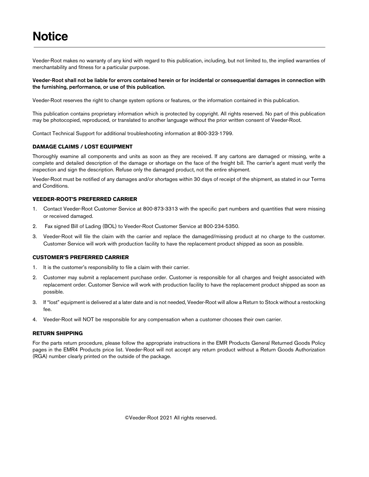Veeder-Root makes no warranty of any kind with regard to this publication, including, but not limited to, the implied warranties of merchantability and fitness for a particular purpose.

### **Veeder-Root shall not be liable for errors contained herein or for incidental or consequential damages in connection with the furnishing, performance, or use of this publication.**

Veeder-Root reserves the right to change system options or features, or the information contained in this publication.

This publication contains proprietary information which is protected by copyright. All rights reserved. No part of this publication may be photocopied, reproduced, or translated to another language without the prior written consent of Veeder-Root.

Contact Technical Support for additional troubleshooting information at 800-323-1799.

### **DAMAGE CLAIMS / LOST EQUIPMENT**

Thoroughly examine all components and units as soon as they are received. If any cartons are damaged or missing, write a complete and detailed description of the damage or shortage on the face of the freight bill. The carrier's agent must verify the inspection and sign the description. Refuse only the damaged product, not the entire shipment.

Veeder-Root must be notified of any damages and/or shortages within 30 days of receipt of the shipment, as stated in our Terms and Conditions.

### **VEEDER-ROOT'S PREFERRED CARRIER**

- 1. Contact Veeder-Root Customer Service at 800-873-3313 with the specific part numbers and quantities that were missing or received damaged.
- 2. Fax signed Bill of Lading (BOL) to Veeder-Root Customer Service at 800-234-5350.
- 3. Veeder-Root will file the claim with the carrier and replace the damaged/missing product at no charge to the customer. Customer Service will work with production facility to have the replacement product shipped as soon as possible.

#### **CUSTOMER'S PREFERRED CARRIER**

- 1. It is the customer's responsibility to file a claim with their carrier.
- 2. Customer may submit a replacement purchase order. Customer is responsible for all charges and freight associated with replacement order. Customer Service will work with production facility to have the replacement product shipped as soon as possible.
- 3. If "lost" equipment is delivered at a later date and is not needed, Veeder-Root will allow a Return to Stock without a restocking fee.
- 4. Veeder-Root will NOT be responsible for any compensation when a customer chooses their own carrier.

### **RETURN SHIPPING**

For the parts return procedure, please follow the appropriate instructions in the EMR Products General Returned Goods Policy pages in the EMR4 Products price list. Veeder-Root will not accept any return product without a Return Goods Authorization (RGA) number clearly printed on the outside of the package.

©Veeder-Root 2021 All rights reserved.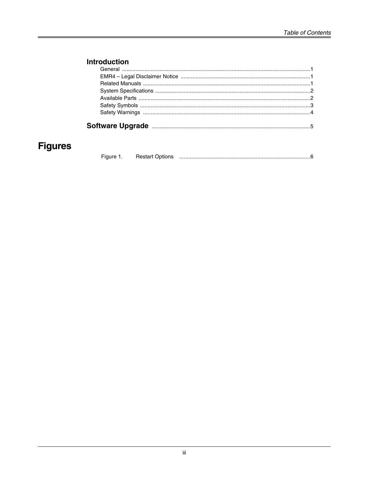# **Introduction**

# **Figures**

| Figure | <b>Restart Options</b> |  |
|--------|------------------------|--|
|--------|------------------------|--|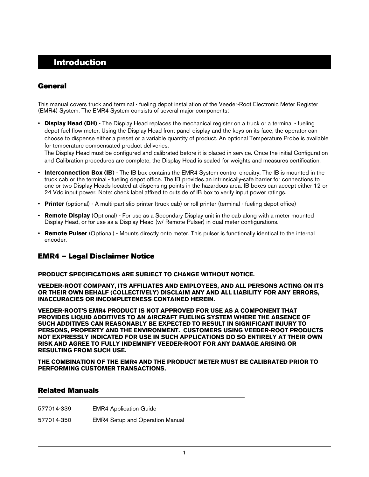# <span id="page-3-0"></span> **Introduction**

### <span id="page-3-1"></span>**General**

This manual covers truck and terminal - fueling depot installation of the Veeder-Root Electronic Meter Register (EMR4) System. The EMR4 System consists of several major components:

• **Display Head (DH)** - The Display Head replaces the mechanical register on a truck or a terminal - fueling depot fuel flow meter. Using the Display Head front panel display and the keys on its face, the operator can choose to dispense either a preset or a variable quantity of product. An optional Temperature Probe is available for temperature compensated product deliveries.

The Display Head must be configured and calibrated before it is placed in service. Once the initial Configuration and Calibration procedures are complete, the Display Head is sealed for weights and measures certification.

- **Interconnection Box (IB)** The IB box contains the EMR4 System control circuitry. The IB is mounted in the truck cab or the terminal - fueling depot office. The IB provides an intrinsically-safe barrier for connections to one or two Display Heads located at dispensing points in the hazardous area. IB boxes can accept either 12 or 24 Vdc input power. Note: check label affixed to outside of IB box to verify input power ratings.
- **Printer** (optional) A multi-part slip printer (truck cab) or roll printer (terminal fueling depot office)
- **Remote Display** (Optional) For use as a Secondary Display unit in the cab along with a meter mounted Display Head, or for use as a Display Head (w/ Remote Pulser) in dual meter configurations.
- **Remote Pulser** (Optional) Mounts directly onto meter. This pulser is functionally identical to the internal encoder.

### <span id="page-3-2"></span>**EMR4 – Legal Disclaimer Notice**

**PRODUCT SPECIFICATIONS ARE SUBJECT TO CHANGE WITHOUT NOTICE.**

**VEEDER-ROOT COMPANY, ITS AFFILIATES AND EMPLOYEES, AND ALL PERSONS ACTING ON ITS OR THEIR OWN BEHALF (COLLECTIVELY) DISCLAIM ANY AND ALL LIABILITY FOR ANY ERRORS, INACCURACIES OR INCOMPLETENESS CONTAINED HEREIN.** 

**VEEDER-ROOT'S EMR4 PRODUCT IS NOT APPROVED FOR USE AS A COMPONENT THAT PROVIDES LIQUID ADDITIVES TO AN AIRCRAFT FUELING SYSTEM WHERE THE ABSENCE OF SUCH ADDITIVES CAN REASONABLY BE EXPECTED TO RESULT IN SIGNIFICANT INJURY TO PERSONS, PROPERTY AND THE ENVIRONMENT. CUSTOMERS USING VEEDER-ROOT PRODUCTS NOT EXPRESSLY INDICATED FOR USE IN SUCH APPLICATIONS DO SO ENTIRELY AT THEIR OWN RISK AND AGREE TO FULLY INDEMNIFY VEEDER-ROOT FOR ANY DAMAGE ARISING OR RESULTING FROM SUCH USE.**

**THE COMBINATION OF THE EMR4 AND THE PRODUCT METER MUST BE CALIBRATED PRIOR TO PERFORMING CUSTOMER TRANSACTIONS.**

### <span id="page-3-3"></span>**Related Manuals**

577014-339 EMR4 Application Guide

577014-350 EMR4 Setup and Operation Manual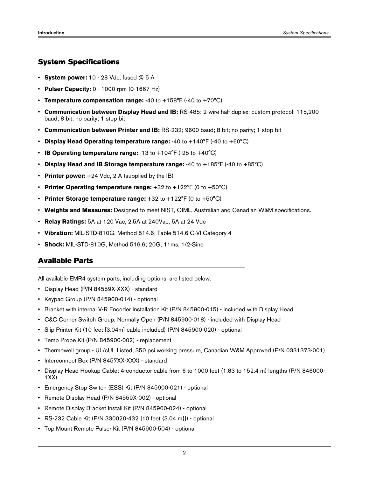### <span id="page-4-0"></span>**System Specifications**

- **System power:** 10 28 Vdc, fused @ 5 A
- **Pulser Capacity:** 0 1000 rpm (0-1667 Hz)
- **Temperature compensation range:** -40 to +158°F (-40 to +70°C)
- **Communication between Display Head and IB:** RS-485; 2-wire half duplex; custom protocol; 115,200 baud; 8 bit; no parity; 1 stop bit
- **Communication between Printer and IB:** RS-232; 9600 baud; 8 bit; no parity; 1 stop bit
- **Display Head Operating temperature range:** -40 to +140°F (-40 to +60°C)
- **IB Operating temperature range:** -13 to +104°F (-25 to +40°C)
- **Display Head and IB Storage temperature range:** -40 to +185°F (-40 to +85°C)
- **Printer power:** +24 Vdc, 2 A (supplied by the IB)
- **Printer Operating temperature range:** +32 to +122°F (0 to +50°C)
- **Printer Storage temperature range:** +32 to +122°F (0 to +50°C)
- **Weights and Measures:** Designed to meet NIST, OIML, Australian and Canadian W&M specifications.
- **Relay Ratings:** 5A at 120 Vac, 2.5A at 240Vac, 5A at 24 Vdc
- **Vibration:** MIL-STD-810G, Method 514.6; Table 514.6 C-VI Category 4
- **Shock:** MIL-STD-810G, Method 516.6; 20G, 11ms, 1/2-Sine

### <span id="page-4-1"></span>**Available Parts**

All available EMR4 system parts, including options, are listed below.

- Display Head (P/N 84559X-XXX) standard
- Keypad Group (P/N 845900-014) optional
- Bracket with internal V-R Encoder Installation Kit (P/N 845900-015) included with Display Head
- C&C Corner Switch Group, Normally Open (P/N 845900-018) included with Display Head
- Slip Printer Kit (10 feet [3.04m] cable included) (P/N 845900-020) optional
- Temp Probe Kit (P/N 845900-002) replacement
- Thermowell group UL/cUL Listed, 350 psi working pressure, Canadian W&M Approved (P/N 0331373-001)
- Interconnect Box (P/N 8457XX-XXX) standard
- Display Head Hookup Cable: 4-conductor cable from 6 to 1000 feet (1.83 to 152.4 m) lengths (P/N 846000- 1XX)
- Emergency Stop Switch (ESS) Kit (P/N 845900-021) optional
- Remote Display Head (P/N 84559X-002) optional
- Remote Display Bracket Install Kit (P/N 845900-024) optional
- RS-232 Cable Kit (P/N 330020-432 [10 feet {3.04 m}]) optional
- Top Mount Remote Pulser Kit (P/N 845900-504) optional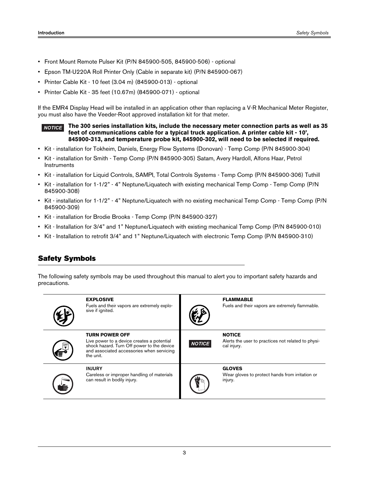- Front Mount Remote Pulser Kit (P/N 845900-505, 845900-506) optional
- Epson TM-U220A Roll Printer Only (Cable in separate kit) (P/N 845900-067)
- Printer Cable Kit 10 feet (3.04 m) (845900-013) optional
- Printer Cable Kit 35 feet (10.67m) (845900-071) optional

If the EMR4 Display Head will be installed in an application other than replacing a V-R Mechanical Meter Register, you must also have the Veeder-Root approved installation kit for that meter.

#### **The 300 series installation kits, include the necessary meter connection parts as well as 35 feet of communications cable for a typical truck application. A printer cable kit - 10', 845900-313, and temperature probe kit, 845900-302, will need to be selected if required.** *NOTICE*

- Kit installation for Tokheim, Daniels, Energy Flow Systems (Donovan) Temp Comp (P/N 845900-304)
- Kit installation for Smith Temp Comp (P/N 845900-305) Satam, Avery Hardoll, Alfons Haar, Petrol **Instruments**
- Kit installation for Liquid Controls, SAMPI, Total Controls Systems Temp Comp (P/N 845900-306) Tuthill
- Kit installation for 1-1/2" 4" Neptune/Liquatech with existing mechanical Temp Comp Temp Comp (P/N 845900-308)
- Kit installation for 1-1/2" 4" Neptune/Liquatech with no existing mechanical Temp Comp Temp Comp (P/N 845900-309)
- Kit installation for Brodie Brooks Temp Comp (P/N 845900-327)
- Kit Installation for 3/4" and 1" Neptune/Liquatech with existing mechanical Temp Comp (P/N 845900-010)
- Kit Installation to retrofit 3/4" and 1" Neptune/Liquatech with electronic Temp Comp (P/N 845900-310)

## <span id="page-5-0"></span>**Safety Symbols**

The following safety symbols may be used throughout this manual to alert you to important safety hazards and precautions.

| <b>EXPLOSIVE</b><br>Fuels and their vapors are extremely explo-<br>sive if ignited.                                                                                         |               | <b>FLAMMABLE</b><br>Fuels and their vapors are extremely flammable.                |
|-----------------------------------------------------------------------------------------------------------------------------------------------------------------------------|---------------|------------------------------------------------------------------------------------|
| <b>TURN POWER OFF</b><br>Live power to a device creates a potential<br>shock hazard. Turn Off power to the device<br>and associated accessories when servicing<br>the unit. | <b>NOTICE</b> | <b>NOTICE</b><br>Alerts the user to practices not related to physi-<br>cal injury. |
| <b>INJURY</b><br>Careless or improper handling of materials<br>can result in bodily injury.                                                                                 |               | <b>GLOVES</b><br>Wear gloves to protect hands from irritation or<br>injury.        |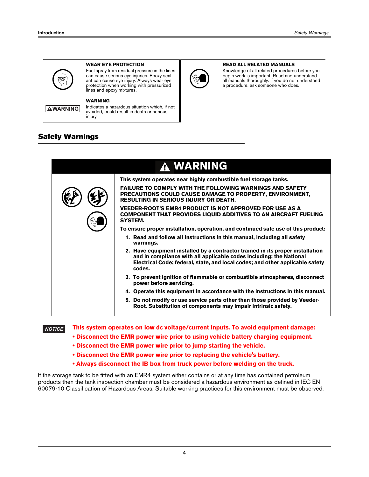

**WARNING**

#### **WEAR EYE PROTECTION**

**WARNING**

injury.

Fuel spray from residual pressure in the lines can cause serious eye injuries. Epoxy sealant can cause eye injury. Always wear eye protection when working with pressurized lines and epoxy mixtures.

Indicates a hazardous situation which, if not avoided, could result in death or serious



#### **READ ALL RELATED MANUALS**

Knowledge of all related procedures before you begin work is important. Read and understand all manuals thoroughly. If you do not understand a procedure, ask someone who does.

### <span id="page-6-0"></span>**Safety Warnings**

| A WARNING                                                                                                                                                                                                                                        |
|--------------------------------------------------------------------------------------------------------------------------------------------------------------------------------------------------------------------------------------------------|
| This system operates near highly combustible fuel storage tanks.                                                                                                                                                                                 |
| <b>FAILURE TO COMPLY WITH THE FOLLOWING WARNINGS AND SAFETY</b><br>PRECAUTIONS COULD CAUSE DAMAGE TO PROPERTY, ENVIRONMENT,<br><b>RESULTING IN SERIOUS INJURY OR DEATH.</b>                                                                      |
| <b>VEEDER-ROOT'S EMR4 PRODUCT IS NOT APPROVED FOR USE AS A</b><br><b>COMPONENT THAT PROVIDES LIQUID ADDITIVES TO AN AIRCRAFT FUELING</b><br><b>SYSTEM.</b>                                                                                       |
| To ensure proper installation, operation, and continued safe use of this product:                                                                                                                                                                |
| 1. Read and follow all instructions in this manual, including all safety<br>warnings.                                                                                                                                                            |
| 2. Have equipment installed by a contractor trained in its proper installation<br>and in compliance with all applicable codes including: the National<br>Electrical Code; federal, state, and local codes; and other applicable safety<br>codes. |
| 3. To prevent ignition of flammable or combustible atmospheres, disconnect<br>power before servicing.                                                                                                                                            |
| 4. Operate this equipment in accordance with the instructions in this manual.                                                                                                                                                                    |
| 5. Do not modify or use service parts other than those provided by Veeder-<br>Root. Substitution of components may impair intrinsic safety.                                                                                                      |
|                                                                                                                                                                                                                                                  |

*NOTICE*

**This system operates on low dc voltage/current inputs. To avoid equipment damage: • Disconnect the EMR power wire prior to using vehicle battery charging equipment.**

- **Disconnect the EMR power wire prior to jump starting the vehicle.**
- **Disconnect the EMR power wire prior to replacing the vehicle's battery.**
- **Always disconnect the IB box from truck power before welding on the truck.**

If the storage tank to be fitted with an EMR4 system either contains or at any time has contained petroleum products then the tank inspection chamber must be considered a hazardous environment as defined in IEC EN 60079-10 Classification of Hazardous Areas. Suitable working practices for this environment must be observed.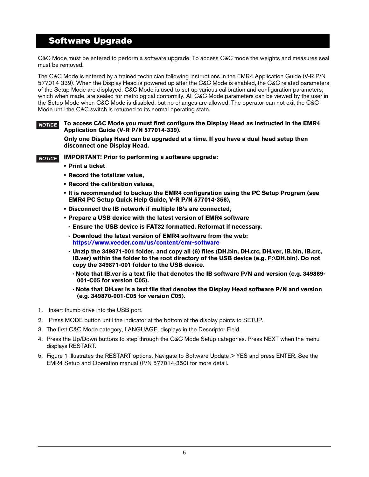# **Software Upgrade**

C&C Mode must be entered to perform a software upgrade. To access C&C mode the weights and measures seal must be removed.

The C&C Mode is entered by a trained technician following instructions in the EMR4 Application Guide (V-R P/N 577014-339). When the Display Head is powered up after the C&C Mode is enabled, the C&C related parameters of the Setup Mode are displayed. C&C Mode is used to set up various calibration and configuration parameters, which when made, are sealed for metrological conformity. All C&C Mode parameters can be viewed by the user in the Setup Mode when C&C Mode is disabled, but no changes are allowed. The operator can not exit the C&C Mode until the C&C switch is returned to its normal operating state.

#### **To access C&C Mode you must first configure the Display Head as instructed in the EMR4 Application Guide (V-R P/N 577014-339).**  *NOTICE*

**Only one Display Head can be upgraded at a time. If you have a dual head setup then disconnect one Display Head.**

#### **IMPORTANT! Prior to performing a software upgrade:** *NOTICE*

- **Print a ticket**
- **Record the totalizer value,**
- **Record the calibration values,**
- **It is recommended to backup the EMR4 configuration using the PC Setup Program (see EMR4 PC Setup Quick Help Guide, V-R P/N 577014-356),**
- **Disconnect the IB network if multiple IB's are connected,**
- **Prepare a USB device with the latest version of EMR4 software** 
	- **Ensure the USB device is FAT32 formatted. Reformat if necessary.**
	- **Download the latest version of EMR4 software from the web: https://www.veeder.com/us/content/emr-software**
	- **Unzip the 349871-001 folder, and copy all (6) files (DH.bin, DH.crc, DH.ver, IB.bin, IB.crc, IB.ver) within the folder to the root directory of the USB device (e.g. F:\DH.bin). Do not copy the 349871-001 folder to the USB device.** 
		- **· Note that IB.ver is a text file that denotes the IB software P/N and version (e.g. 349869- 001-C05 for version C05).**
		- **· Note that DH.ver is a text file that denotes the Display Head software P/N and version (e.g. 349870-001-C05 for version C05).**
- 1. Insert thumb drive into the USB port.
- 2. Press MODE button until the indicator at the bottom of the display points to SETUP.
- 3. The first C&C Mode category, LANGUAGE, displays in the Descriptor Field.
- 4. Press the Up/Down buttons to step through the C&C Mode Setup categories. Press NEXT when the menu displays RESTART.
- 5. Figure 1 illustrates the RESTART options. Navigate to Software Update > YES and press ENTER. See the EMR4 Setup and Operation manual (P/N 577014-350) for more detail.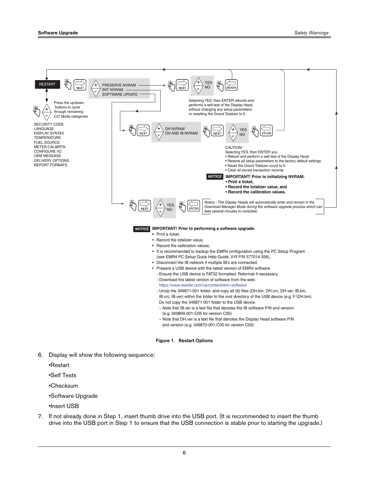

- <span id="page-8-0"></span>6. Display will show the following sequence:
	- •Restart
	- •Self Tests
	- •Checksum
	- •Software Upgrade
	- •Insert USB
- 7. If not already done in Step 1, insert thumb drive into the USB port. (It is recommended to insert the thumb drive into the USB port in Step 1 to ensure that the USB connection is stable prior to starting the upgrade.)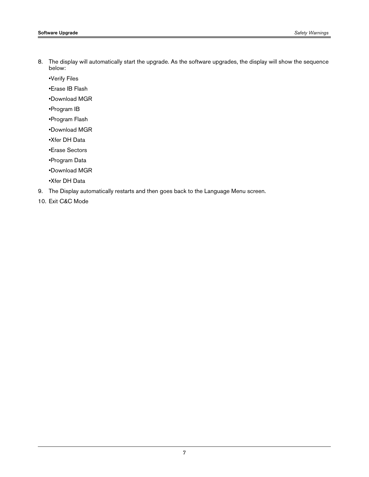•Verify Files

•Erase IB Flash

•Download MGR

•Program IB

•Program Flash

•Download MGR

•Xfer DH Data

•Erase Sectors

•Program Data

•Download MGR

•Xfer DH Data

9. The Display automatically restarts and then goes back to the Language Menu screen.

10. Exit C&C Mode